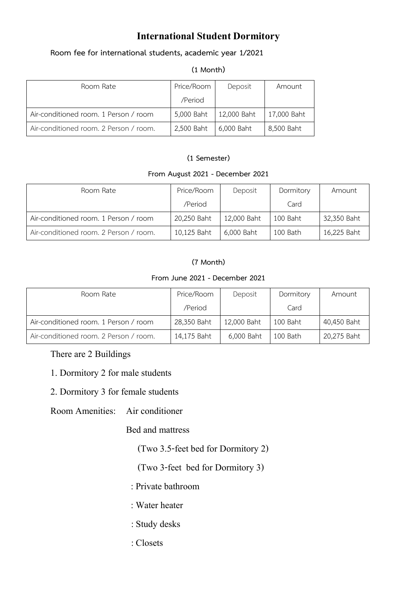## **International Student Dormitory**

### **Room fee for international students, academic year 1/2021**

#### **(1 Month)**

| Room Rate                              | Price/Room | Deposit     | Amount      |
|----------------------------------------|------------|-------------|-------------|
|                                        | /Period    |             |             |
| Air-conditioned room. 1 Person / room  | 5,000 Baht | 12,000 Baht | 17,000 Baht |
| Air-conditioned room. 2 Person / room. | 2,500 Baht | 6,000 Baht  | 8,500 Baht  |

### **(1 Semester)**

### **From August 2021 - December 2021**

| Room Rate                              | Price/Room  | Deposit     | Dormitory | Amount      |
|----------------------------------------|-------------|-------------|-----------|-------------|
|                                        | /Period     |             | Card      |             |
| Air-conditioned room. 1 Person / room  | 20,250 Baht | 12,000 Baht | 100 Baht  | 32,350 Baht |
| Air-conditioned room. 2 Person / room. | 10,125 Baht | 6,000 Baht  | 100 Bath  | 16,225 Baht |

### **(7 Month)**

#### **From June 2021 - December 2021**

| Room Rate                              | Price/Room  | Deposit     | Dormitory | Amount      |
|----------------------------------------|-------------|-------------|-----------|-------------|
|                                        | /Period     |             | Card      |             |
| Air-conditioned room. 1 Person / room  | 28,350 Baht | 12,000 Baht | 100 Baht  | 40,450 Baht |
| Air-conditioned room. 2 Person / room. | 14,175 Baht | 6,000 Baht  | 100 Bath  | 20,275 Baht |

### There are 2 Buildings

- 1. Dormitory 2 for male students
- 2. Dormitory 3 for female students
- Room Amenities: Air conditioner

### Bed and mattress

(Two 3.5-feet bed for Dormitory 2)

(Two 3-feet bed for Dormitory 3)

- : Private bathroom
- : Water heater
- : Study desks
- : Closets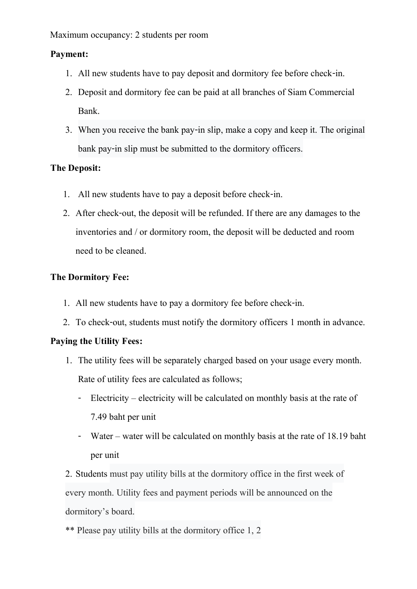Maximum occupancy: 2 students per room

## **Payment:**

- 1. All new students have to pay deposit and dormitory fee before check-in.
- 2. Deposit and dormitory fee can be paid at all branches of Siam Commercial Bank.
- 3. When you receive the bank pay-in slip, make a copy and keep it. The original bank pay-in slip must be submitted to the dormitory officers.

## **The Deposit:**

- 1. All new students have to pay a deposit before check-in.
- 2. After check-out, the deposit will be refunded. If there are any damages to the inventories and / or dormitory room, the deposit will be deducted and room need to be cleaned.

## **The Dormitory Fee:**

- 1. All new students have to pay a dormitory fee before check-in.
- 2. To check-out, students must notify the dormitory officers 1 month in advance.

## **Paying the Utility Fees:**

- 1. The utility fees will be separately charged based on your usage every month. Rate of utility fees are calculated as follows;
	- Electricity electricity will be calculated on monthly basis at the rate of 7.49 baht per unit
	- Water water will be calculated on monthly basis at the rate of 18.19 baht per unit

2. Students must pay utility bills at the dormitory office in the first week of every month. Utility fees and payment periods will be announced on the dormitory's board.

\*\* Please pay utility bills at the dormitory office 1, 2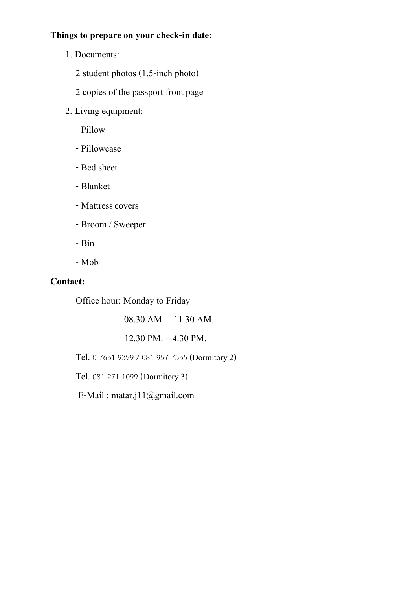## **Things to prepare on your check-in date:**

- 1. Documents:
	- 2 student photos (1.5-inch photo)
	- 2 copies of the passport front page
- 2. Living equipment:
	- -Pillow
	- -Pillowcase
	- Bed sheet
	- Blanket
	- Mattress covers
	- Broom / Sweeper
	- Bin
	- Mob

## **Contact:**

Office hour: Monday to Friday

08.30 AM. – 11.30 AM.

 $12.30$  PM.  $-4.30$  PM.

Tel. 0 7631 9399 / 081 957 7535 (Dormitory 2)

Tel. 081 271 1099 (Dormitory 3)

E-Mail : matar.j11@gmail.com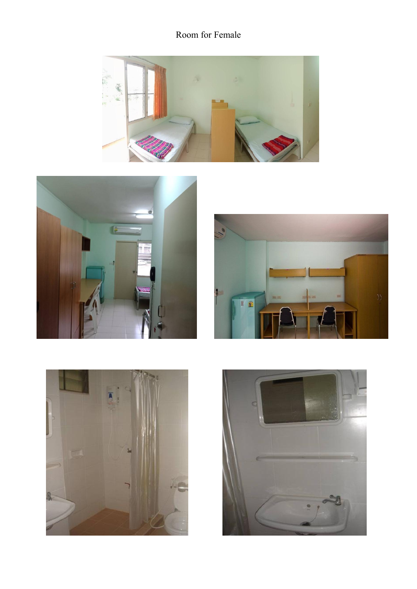# Room for Female